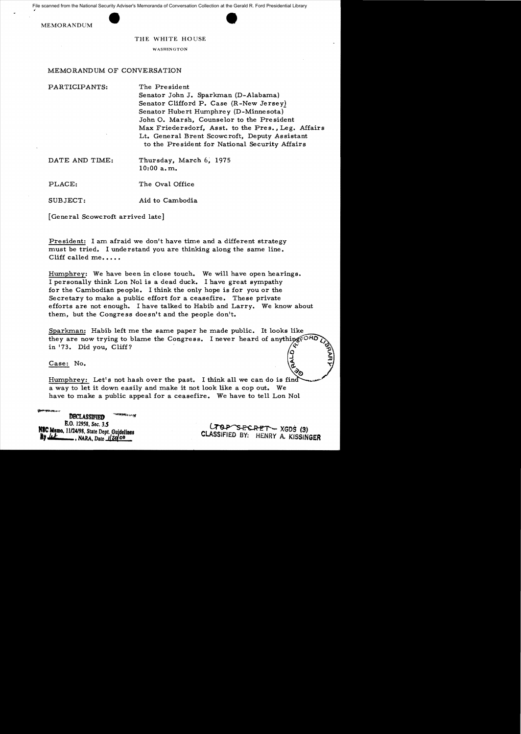



THE WHITE HOUSE

WASHINGTON

## MEMORANDUM OF CONVERSATION

PARTICIPANTS: The President

Senator John J. Sparkman (D-Alabama) Senator Clifford P. Case (R-New Jerseyl Senator Hubert Humphrey (D-Minnesota) John O. Marsh, Counselor to the President Max Friedersdorf, Asst. to the Pres., Leg. Mfairs Lt. General Brent Scowcroft, Deputy Assistant to the President for National Security Affairs

DATE AND TIME: Thursday, March 6, 1975  $10:00$  a.m.

PLACE: The Oval Office

SUBJECT: Aid to Cambodia

[General Scowcroft arrived late]

President: I am afraid we don't have time and a different strategy must be tried. I unde rstand you are thinking along the same line. Cliff called me.....

Humphrey: We have been in close touch. We will have open hearings. I personally think Lon Nol is a dead duck. I have great sympathy for the Cambodian people. I think the only hope is for you or the Secretary to make a public effort for a ceasefire. These private efforts are not enough. I have talked to Habib and Larry. We know about them, but the Congress doesn't and the people don't.

Sparkman: Habib left me the same paper he made public. It looks like they are now trying to blame the Congress. I never heard of anything  $\epsilon^{ORl}$ in  $'73$ . Did you, Cliff?

## Case: No.

Humphrey: Let's not hash over the past. a way to let it down easily and make it not look like a cop out. We have to make a public appeal for a ceasefire. We have to tell Lon Nol

DBCLASSIFIED. E.O. 12958, *Sec.* 3.5<br>**NSC Memo.** 11/24/98, State Dept. Guidelines E.O. 12958, Sec. 3.5<br>
M**BC Momo, 11/24/98**, State Dept. Guidelines<br> **By Let ........**, NARA, Date <u>1</u>/20<sup>100</sup>

CLASSIFIED BY: HENRY A. KISSINGER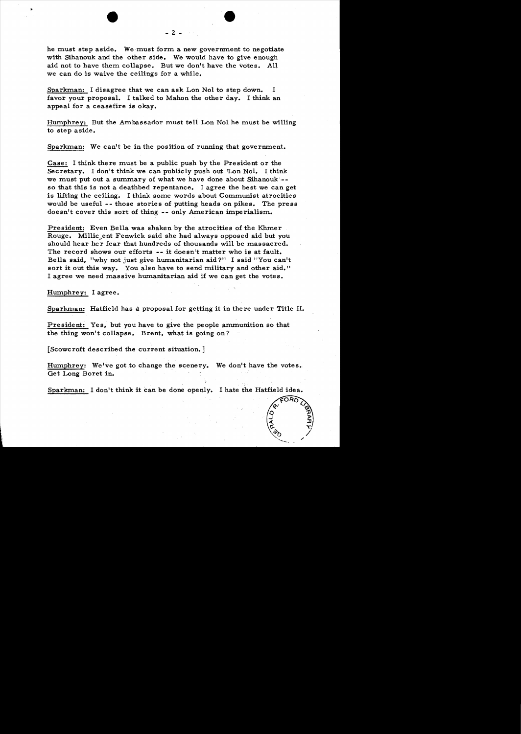he must step aside. We must form a new government to negotiate with Sihanouk and the other side. We would have to give enough aid not to have them collapse. But we don't have the votes. All we can do is waive the ceilings for a while.

Sparkman: I disagree that we can ask Lon Nol to step down. I favor your proposal. I talked to Mahon the other day. I think an appeal for a ceasefire is okay.

Humphrey: But the Ambassador must tell Lon Nol he must be willing to step aside.

Sparkman: We can't be in the position of running that government.

Case: I think there must be a public push by the President or the Secretary. I don't think we can publicly push out  $\mathbb{L}$ on Nol. I think we must put out a summary of what we have done about Sihanouk  $\sim$ so that this is not a deathbed repentance. I agree the best we can get is lifting the ceiling. I think some words about Communist atrocities would be useful **--** those stories of putting heads on pikes. The press doesn't cover this sort of thing -- only American imperialism.

President: Even Bella was shaken by the atrocities of the Khmer Rouge. Millic ent Fenwick said she had always opposed aid but you should hear her fear that hundreds of thousands will be massacred. The record shows our efforts **--** it doesn't matter who is at fault. Bella said, "why not just give humanitarian aid?" I said "You can't sort it out this way. You also have to send military and other aid." I agree we need massive humanitarian aid if we can get the votes.

Humphrey: I agree.

Sparkman: Hatfield has a proposal for getting it in there under Title II.

President: Yes, but you have to give the people ammunition so that the thing won't collapse. Brent, what is going on?

[Scowcroft described the current situation. ]

Humphrey: We've got to change the scenery. We don't have the votes. Get Long Boret in.

Sparkman: I don't think it can be done openly. I hate the Hatfield idea.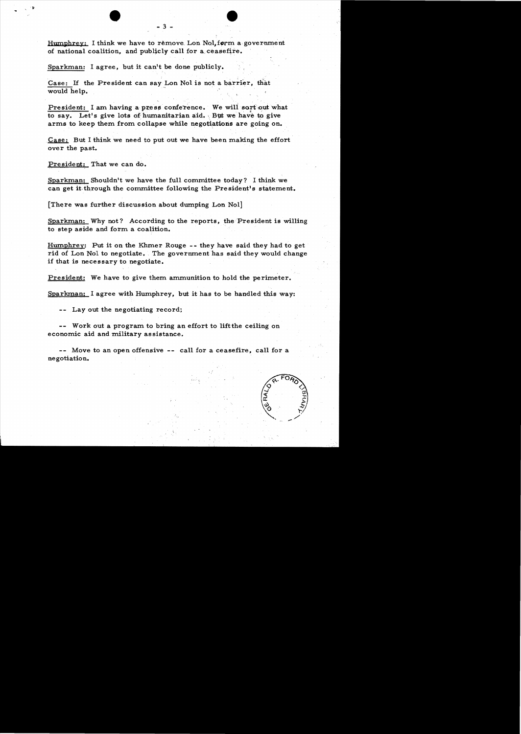Humphrey: I think we have to remove Lon Nol, form a government of national coalition, and publicly call for a ceasefire.

. The contract of the contract of the contract of the contract of the contract of the contract of the contract of the contract of the contract of the contract of the contract of the contract of the contract of the contrac

Sparkman: I agree, but it can't be done publicly.

Case: If the President can say Lon Nol is not a barrier, that would help.

President: I am having a press conference. We will sort out what to say. Let's give lots of humanitarian aid. But we have to give arms to keep them from collapse while negotiations are going on.

 $\overline{Case}$ : But I think we need to put out we have been making the effort over the past.

President: That we can do.

Sparkman: Shouldn't we have the full committee today? I think we can get it through the committee following the President's statement.

[There was further discussion about dwnping Lon Nol]

Sparkman: Why not? According to the reports, the President is willing to step aside and form a coalition.

Humphrey: Put it on the Khmer Rouge -- they have said they had to get rid of Lon Nol to negotiate. The government has said they would change if that is necessary to negotiate.

President: We have to give them ammunition to hold the perimeter.

 $Sparkman: I agree with Humphrey, but it has to be handled this way:$ 

-- Lay out the negotiating record;

-- Work out a program to bring an effort to lift the ceiling on economic aid and military assistance.

-- Move to an open offensive -- call for a ceasefire, call for a negotiation.

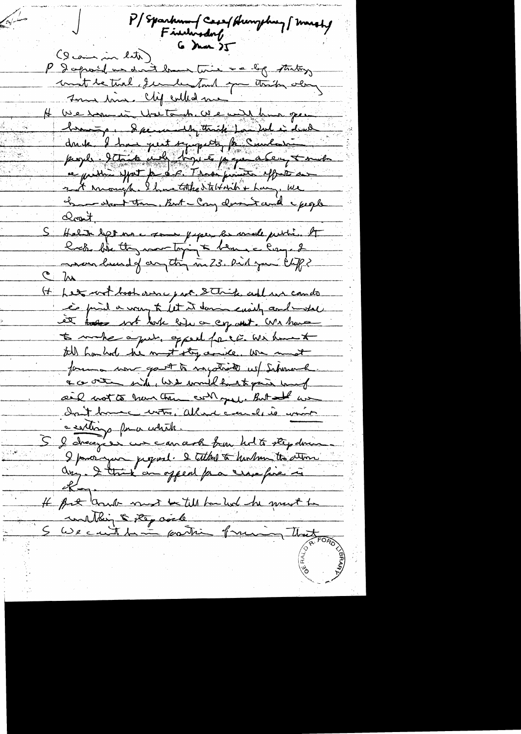P/Sparkmmf Casef Humphrey [ marshy Findingdorf  $G$  ) was  $2T$ (lethe min entre) P & aprol us don't law time a lig starting mont de tirel de la tout que troite ola H ve rom in Walter dr. We will have gen branque & personnelly through for hel in devel dans l'han peut sympathy fan Cumbertain. proper. 2 toute und thousand property tomate re public effect for det. Those finite effects a 2 A Monigh Ihmetathe Stellarth + Lang, We he start the Bot - Cong donne and excepte Closent, Halit det me sou paper en male publi. A mondemand of anything in 23. Did juni Chipp?  $\mathbb{C}$  by It het wort book verse part. Sthirts and we can do is find a way to let it down easily conducted et todes not look bije on cop and. We have to make a que opped for i withment till han had he must stop ande. We must forma non gout to negotiate us Schmach. a co octo side, we would had to gain hand ail not to have them control. But an Init home with, allend courals is won't a sortings for a which. 5 le chacage en cancera bien holts step demen I pronyent juged. I telked to her hun to store If fut and must be till banked he must be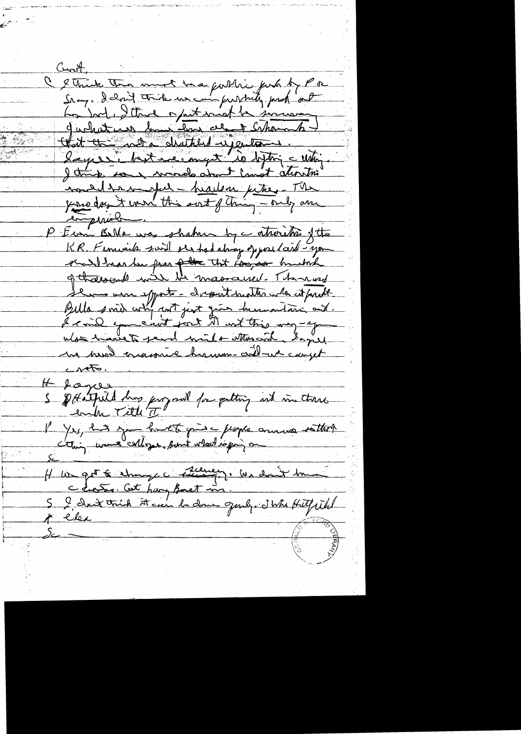Croot, C & Think This must be a fulling funk of Por how bod, I think a put wish he sinceren quehatues housement channées that a commentant upertant lapsé huit me mont la distrie unique I think for mode about limit attention noned to worked - headen petre. The emperiele P Erm BMe was shahren by catheristic fits<br>KR. Fernwick said et had about oppositein fits<br>et all beas he for <del>filt</del> that composition hushes Se une esse esports - chessat suatter une citat parte I said exercent port it within may-you Ms havet fend mile Monard Iaprel ha hered transmil hamon-criteringet  $C$  $\sim$  $\sqrt{6}$ H toyer, S \$ Adentical dans programed for putting ind in these l' Yrs, has journet par l'expre annua estant It we get to stranger stamment in don't true  $\gtrsim$   $-$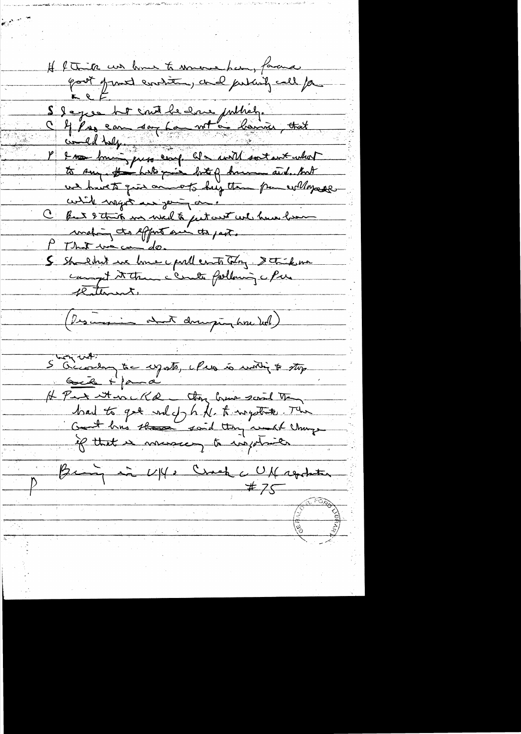H ftink us home to memor han, facuse S I agree that count he have publicly.<br>C 4 Pres can don har not a bannier that<br>P 2 m bours pres eart at a with sort what certile magnet and young and C fut 2 this me well to just we have been S shouldn't we have could east try stick me (Descenir avec des proprietes) S Geconom tre cynts, eles is motif & stop Gil + para H Part et en KR they been some the  $\frac{\beta_{\text{min}}}{\gamma}$  and  $\frac{U|\psi|}{\gamma}$  Crack c UM repokation